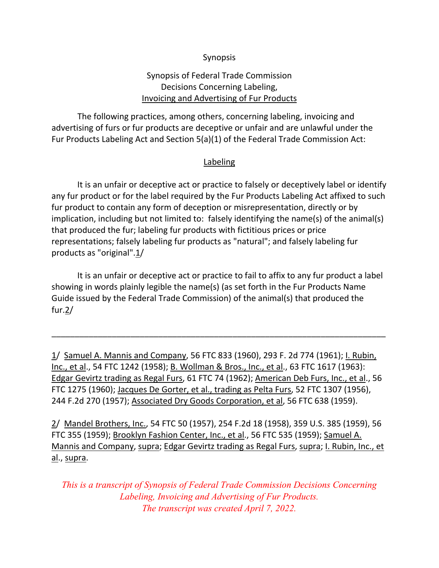## Synopsis

# Synopsis of Federal Trade Commission Decisions Concerning Labeling, Invoicing and Advertising of Fur Products

The following practices, among others, concerning labeling, invoicing and advertising of furs or fur products are deceptive or unfair and are unlawful under the Fur Products Labeling Act and Section 5(a)(1) of the Federal Trade Commission Act:

## Labeling

It is an unfair or deceptive act or practice to falsely or deceptively label or identify any fur product or for the label required by the Fur Products Labeling Act affixed to such fur product to contain any form of deception or misrepresentation, directly or by implication, including but not limited to: falsely identifying the name(s) of the animal(s) that produced the fur; labeling fur products with fictitious prices or price representations; falsely labeling fur products as "natural"; and falsely labeling fur products as "original".1/

It is an unfair or deceptive act or practice to fail to affix to any fur product a label showing in words plainly legible the name(s) (as set forth in the Fur Products Name Guide issued by the Federal Trade Commission) of the animal(s) that produced the fur.2/

\_\_\_\_\_\_\_\_\_\_\_\_\_\_\_\_\_\_\_\_\_\_\_\_\_\_\_\_\_\_\_\_\_\_\_\_\_\_\_\_\_\_\_\_\_\_\_\_\_\_\_\_\_\_\_\_\_\_\_\_\_\_\_\_\_\_\_\_\_\_\_\_

1/ Samuel A. Mannis and Company, 56 FTC 833 (1960), 293 F. 2d 774 (1961); I. Rubin, Inc., et al., 54 FTC 1242 (1958); B. Wollman & Bros., Inc., et al., 63 FTC 1617 (1963): Edgar Gevirtz trading as Regal Furs, 61 FTC 74 (1962); American Deb Furs, Inc., et al., 56 FTC 1275 (1960); Jacques De Gorter, et al., trading as Pelta Furs, 52 FTC 1307 (1956), 244 F.2d 270 (1957); Associated Dry Goods Corporation, et al, 56 FTC 638 (1959).

2/ Mandel Brothers, Inc., 54 FTC 50 (1957), 254 F.2d 18 (1958), 359 U.S. 385 (1959), 56 FTC 355 (1959); Brooklyn Fashion Center, Inc., et al., 56 FTC 535 (1959); Samuel A. Mannis and Company, supra; Edgar Gevirtz trading as Regal Furs, supra; I. Rubin, Inc., et al., supra.

*This is a transcript of Synopsis of Federal Trade Commission Decisions Concerning Labeling, Invoicing and Advertising of Fur Products. The transcript was created April 7, 2022.*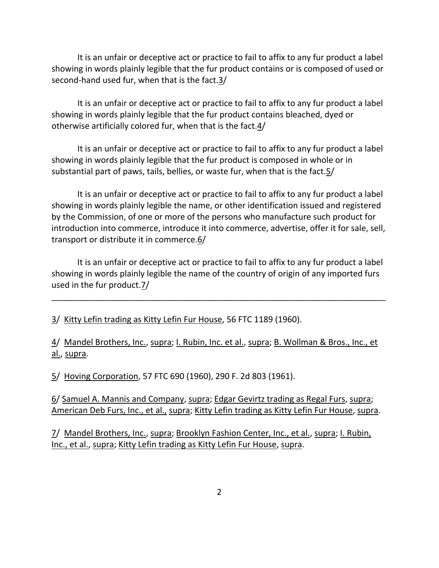It is an unfair or deceptive act or practice to fail to affix to any fur product a label showing in words plainly legible that the fur product contains or is composed of used or second-hand used fur, when that is the fact.3/

It is an unfair or deceptive act or practice to fail to affix to any fur product a label showing in words plainly legible that the fur product contains bleached, dyed or otherwise artificially colored fur, when that is the fact.4/

It is an unfair or deceptive act or practice to fail to affix to any fur product a label showing in words plainly legible that the fur product is composed in whole or in substantial part of paws, tails, bellies, or waste fur, when that is the fact.5/

It is an unfair or deceptive act or practice to fail to affix to any fur product a label showing in words plainly legible the name, or other identification issued and registered by the Commission, of one or more of the persons who manufacture such product for introduction into commerce, introduce it into commerce, advertise, offer it for sale, sell, transport or distribute it in commerce.6/

It is an unfair or deceptive act or practice to fail to affix to any fur product a label showing in words plainly legible the name of the country of origin of any imported furs used in the fur product.7/

\_\_\_\_\_\_\_\_\_\_\_\_\_\_\_\_\_\_\_\_\_\_\_\_\_\_\_\_\_\_\_\_\_\_\_\_\_\_\_\_\_\_\_\_\_\_\_\_\_\_\_\_\_\_\_\_\_\_\_\_\_\_\_\_\_\_\_\_\_\_\_\_

3/ Kitty Lefin trading as Kitty Lefin Fur House, 56 FTC 1189 (1960).

4/ Mandel Brothers, Inc., supra; I. Rubin, Inc. et al., supra; B. Wollman & Bros., Inc., et al., supra.

5/ Hoving Corporation, 57 FTC 690 (1960), 290 F. 2d 803 (1961).

6/ Samuel A. Mannis and Company, supra; Edgar Gevirtz trading as Regal Furs, supra; American Deb Furs, Inc., et al., supra; Kitty Lefin trading as Kitty Lefin Fur House, supra.

7/ Mandel Brothers, Inc., supra; Brooklyn Fashion Center, Inc., et al., supra; I. Rubin, Inc., et al., supra; Kitty Lefin trading as Kitty Lefin Fur House, supra.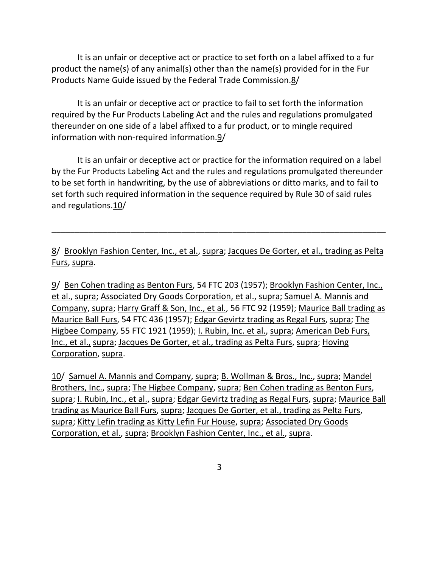It is an unfair or deceptive act or practice to set forth on a label affixed to a fur product the name(s) of any animal(s) other than the name(s) provided for in the Fur Products Name Guide issued by the Federal Trade Commission.8/

It is an unfair or deceptive act or practice to fail to set forth the information required by the Fur Products Labeling Act and the rules and regulations promulgated thereunder on one side of a label affixed to a fur product, or to mingle required information with non‐required information.9/

It is an unfair or deceptive act or practice for the information required on a label by the Fur Products Labeling Act and the rules and regulations promulgated thereunder to be set forth in handwriting, by the use of abbreviations or ditto marks, and to fail to set forth such required information in the sequence required by Rule 30 of said rules and [regulations.10/](https://regulations.10)

8/ Brooklyn Fashion Center, Inc., et al., supra; Jacques De Gorter, et al., trading as Pelta Furs, supra.

\_\_\_\_\_\_\_\_\_\_\_\_\_\_\_\_\_\_\_\_\_\_\_\_\_\_\_\_\_\_\_\_\_\_\_\_\_\_\_\_\_\_\_\_\_\_\_\_\_\_\_\_\_\_\_\_\_\_\_\_\_\_\_\_\_\_\_\_\_\_\_\_

9/ Ben Cohen trading as Benton Furs, 54 FTC 203 (1957); Brooklyn Fashion Center, Inc., et al., supra; Associated Dry Goods Corporation, et al., supra; Samuel A. Mannis and Company, supra; Harry Graff & Son, Inc., et al., 56 FTC 92 (1959); Maurice Ball trading as Maurice Ball Furs, 54 FTC 436 (1957); Edgar Gevirtz trading as Regal Furs, supra; The Higbee Company, 55 FTC 1921 (1959); I. Rubin, Inc. et al., supra; American Deb Furs, Inc., et al., supra; Jacques De Gorter, et al., trading as Pelta Furs, supra; Hoving Corporation, supra.

10/ Samuel A. Mannis and Company, supra; B. Wollman & Bros., Inc., supra; Mandel Brothers, Inc., supra; The Higbee Company, supra; Ben Cohen trading as Benton Furs, supra; I. Rubin, Inc., et al., supra; Edgar Gevirtz trading as Regal Furs, supra; Maurice Ball trading as Maurice Ball Furs, supra; Jacques De Gorter, et al., trading as Pelta Furs, supra; Kitty Lefin trading as Kitty Lefin Fur House, supra; Associated Dry Goods Corporation, et al., supra; Brooklyn Fashion Center, Inc., et al., supra.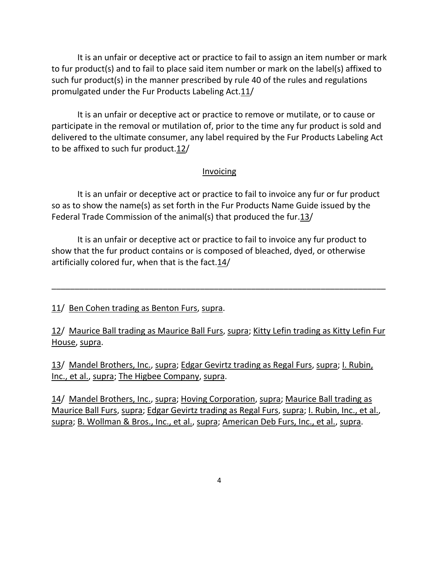It is an unfair or deceptive act or practice to fail to assign an item number or mark to fur product(s) and to fail to place said item number or mark on the label(s) affixed to such fur product(s) in the manner prescribed by rule 40 of the rules and regulations promulgated under the Fur Products Labeling Act.11/

It is an unfair or deceptive act or practice to remove or mutilate, or to cause or participate in the removal or mutilation of, prior to the time any fur product is sold and delivered to the ultimate consumer, any label required by the Fur Products Labeling Act to be affixed to such fur product. $12/$ 

## Invoicing

It is an unfair or deceptive act or practice to fail to invoice any fur or fur product so as to show the name(s) as set forth in the Fur Products Name Guide issued by the Federal Trade Commission of the animal(s) that produced the fur.13/

It is an unfair or deceptive act or practice to fail to invoice any fur product to show that the fur product contains or is composed of bleached, dyed, or otherwise artificially colored fur, when that is the fact.14/

## 11/ Ben Cohen trading as Benton Furs, supra.

12/ Maurice Ball trading as Maurice Ball Furs, supra; Kitty Lefin trading as Kitty Lefin Fur House, supra.

\_\_\_\_\_\_\_\_\_\_\_\_\_\_\_\_\_\_\_\_\_\_\_\_\_\_\_\_\_\_\_\_\_\_\_\_\_\_\_\_\_\_\_\_\_\_\_\_\_\_\_\_\_\_\_\_\_\_\_\_\_\_\_\_\_\_\_\_\_\_\_\_

13/ Mandel Brothers, Inc., supra; Edgar Gevirtz trading as Regal Furs, supra; I. Rubin, Inc., et al., supra; The Higbee Company, supra.

14/ Mandel Brothers, Inc., supra; Hoving Corporation, supra; Maurice Ball trading as Maurice Ball Furs, supra; Edgar Gevirtz trading as Regal Furs, supra; I. Rubin, Inc., et al., supra; B. Wollman & Bros., Inc., et al., supra; American Deb Furs, Inc., et al., supra.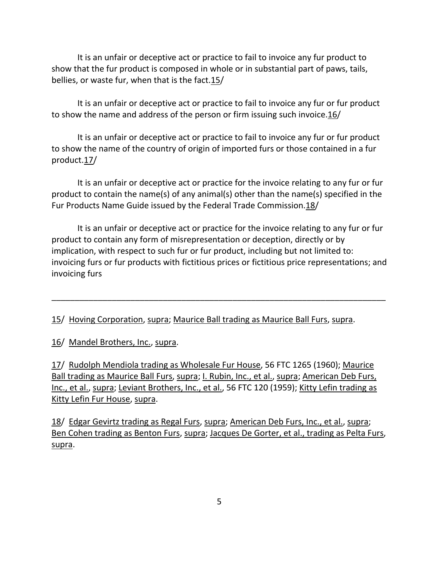It is an unfair or deceptive act or practice to fail to invoice any fur product to show that the fur product is composed in whole or in substantial part of paws, tails, bellies, or waste fur, when that is the fact. 15/

It is an unfair or deceptive act or practice to fail to invoice any fur or fur product to show the name and address of the person or firm issuing such [invoice.16](https://invoice.16)/

It is an unfair or deceptive act or practice to fail to invoice any fur or fur product to show the name of the country of origin of imported furs or those contained in a fur [product.17](https://product.17)/

It is an unfair or deceptive act or practice for the invoice relating to any fur or fur product to contain the name(s) of any animal(s) other than the name(s) specified in the Fur Products Name Guide issued by the Federal Trade [Commission.18/](https://Commission.18)

It is an unfair or deceptive act or practice for the invoice relating to any fur or fur product to contain any form of misrepresentation or deception, directly or by implication, with respect to such fur or fur product, including but not limited to: invoicing furs or fur products with fictitious prices or fictitious price representations; and invoicing furs

\_\_\_\_\_\_\_\_\_\_\_\_\_\_\_\_\_\_\_\_\_\_\_\_\_\_\_\_\_\_\_\_\_\_\_\_\_\_\_\_\_\_\_\_\_\_\_\_\_\_\_\_\_\_\_\_\_\_\_\_\_\_\_\_\_\_\_\_\_\_\_\_

15/ Hoving Corporation, supra; Maurice Ball trading as Maurice Ball Furs, supra.

16/ Mandel Brothers, Inc., supra.

17/ Rudolph Mendiola trading as Wholesale Fur House, 56 FTC 1265 (1960); Maurice Ball trading as Maurice Ball Furs, supra; I. Rubin, Inc., et al., supra; American Deb Furs, Inc., et al., supra; Leviant Brothers, Inc., et al., 56 FTC 120 (1959); Kitty Lefin trading as Kitty Lefin Fur House, supra.

18/ Edgar Gevirtz trading as Regal Furs, supra; American Deb Furs, Inc., et al., supra; Ben Cohen trading as Benton Furs, supra; Jacques De Gorter, et al., trading as Pelta Furs, supra.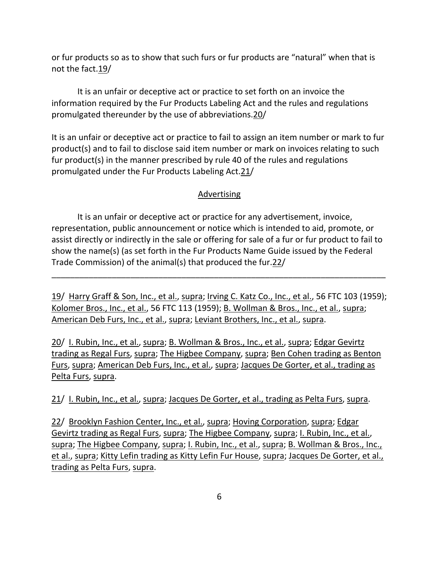or fur products so as to show that such furs or fur products are "natural" when that is not the fact.19/

It is an unfair or deceptive act or practice to set forth on an invoice the information required by the Fur Products Labeling Act and the rules and regulations promulgated thereunder by the use of [abbreviations.20](https://abbreviations.20)/

It is an unfair or deceptive act or practice to fail to assign an item number or mark to fur product(s) and to fail to disclose said item number or mark on invoices relating to such fur product(s) in the manner prescribed by rule 40 of the rules and regulations promulgated under the Fur Products Labeling Act.21/

#### Advertising

It is an unfair or deceptive act or practice for any advertisement, invoice, representation, public announcement or notice which is intended to aid, promote, or assist directly or indirectly in the sale or offering for sale of a fur or fur product to fail to show the name(s) (as set forth in the Fur Products Name Guide issued by the Federal Trade Commission) of the animal(s) that produced the fur.22/

19/ Harry Graff & Son, Inc., et al., supra; Irving C. Katz Co., Inc., et al., 56 FTC 103 (1959); Kolomer Bros., Inc., et al., 56 FTC 113 (1959); B. Wollman & Bros., Inc., et al., supra; American Deb Furs, Inc., et al., supra; Leviant Brothers, Inc., et al., supra.

\_\_\_\_\_\_\_\_\_\_\_\_\_\_\_\_\_\_\_\_\_\_\_\_\_\_\_\_\_\_\_\_\_\_\_\_\_\_\_\_\_\_\_\_\_\_\_\_\_\_\_\_\_\_\_\_\_\_\_\_\_\_\_\_\_\_\_\_\_\_\_\_

20/ I. Rubin, Inc., et al., supra; B. Wollman & Bros., Inc., et al., supra; Edgar Gevirtz trading as Regal Furs, supra; The Higbee Company, supra; Ben Cohen trading as Benton Furs, supra; American Deb Furs, Inc., et al., supra; Jacques De Gorter, et al., trading as Pelta Furs, supra.

21/ I. Rubin, Inc., et al., supra; Jacques De Gorter, et al., trading as Pelta Furs, supra.

22/ Brooklyn Fashion Center, Inc., et al., supra; Hoving Corporation, supra; Edgar Gevirtz trading as Regal Furs, supra; The Higbee Company, supra; I. Rubin, Inc., et al., supra; The Higbee Company, supra; I. Rubin, Inc., et al., supra; B. Wollman & Bros., Inc., et al., supra; Kitty Lefin trading as Kitty Lefin Fur House, supra; Jacques De Gorter, et al., trading as Pelta Furs, supra.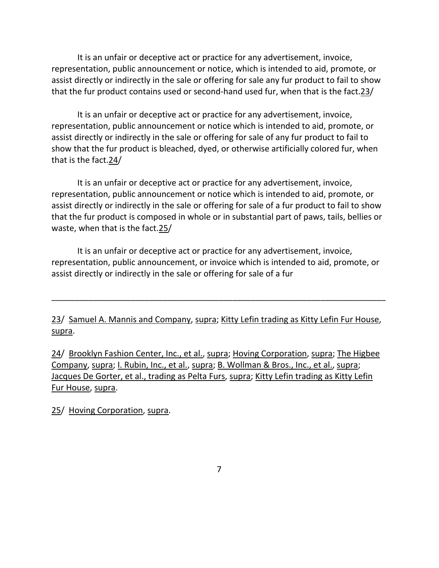It is an unfair or deceptive act or practice for any advertisement, invoice, representation, public announcement or notice, which is intended to aid, promote, or assist directly or indirectly in the sale or offering for sale any fur product to fail to show that the fur product contains used or second-hand used fur, when that is the fact.23/

It is an unfair or deceptive act or practice for any advertisement, invoice, representation, public announcement or notice which is intended to aid, promote, or assist directly or indirectly in the sale or offering for sale of any fur product to fail to show that the fur product is bleached, dyed, or otherwise artificially colored fur, when that is the fact.24/

It is an unfair or deceptive act or practice for any advertisement, invoice, representation, public announcement or notice which is intended to aid, promote, or assist directly or indirectly in the sale or offering for sale of a fur product to fail to show that the fur product is composed in whole or in substantial part of paws, tails, bellies or waste, when that is the fact.25/

It is an unfair or deceptive act or practice for any advertisement, invoice, representation, public announcement, or invoice which is intended to aid, promote, or assist directly or indirectly in the sale or offering for sale of a fur

23/ Samuel A. Mannis and Company, supra; Kitty Lefin trading as Kitty Lefin Fur House, supra.

\_\_\_\_\_\_\_\_\_\_\_\_\_\_\_\_\_\_\_\_\_\_\_\_\_\_\_\_\_\_\_\_\_\_\_\_\_\_\_\_\_\_\_\_\_\_\_\_\_\_\_\_\_\_\_\_\_\_\_\_\_\_\_\_\_\_\_\_\_\_\_\_

24/ Brooklyn Fashion Center, Inc., et al., supra; Hoving Corporation, supra; The Higbee Company, supra; I. Rubin, Inc., et al., supra; B. Wollman & Bros., Inc., et al., supra; Jacques De Gorter, et al., trading as Pelta Furs, supra; Kitty Lefin trading as Kitty Lefin Fur House, supra.

25/ Hoving Corporation, supra.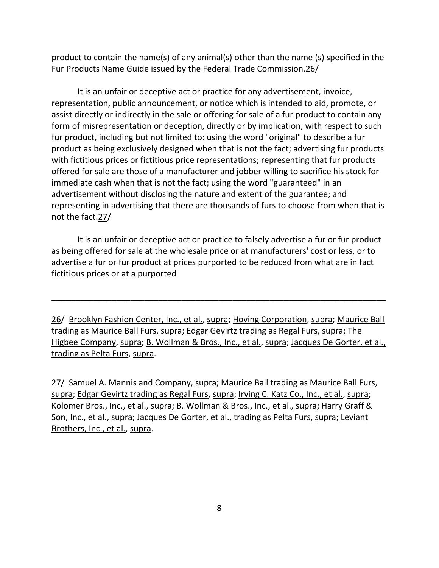product to contain the name(s) of any animal(s) other than the name (s) specified in the Fur Products Name Guide issued by the Federal Trade [Commission.26/](https://Commission.26)

It is an unfair or deceptive act or practice for any advertisement, invoice, representation, public announcement, or notice which is intended to aid, promote, or assist directly or indirectly in the sale or offering for sale of a fur product to contain any form of misrepresentation or deception, directly or by implication, with respect to such fur product, including but not limited to: using the word "original" to describe a fur product as being exclusively designed when that is not the fact; advertising fur products with fictitious prices or fictitious price representations; representing that fur products offered for sale are those of a manufacturer and jobber willing to sacrifice his stock for immediate cash when that is not the fact; using the word "guaranteed" in an advertisement without disclosing the nature and extent of the guarantee; and representing in advertising that there are thousands of furs to choose from when that is not the fact.27/

It is an unfair or deceptive act or practice to falsely advertise a fur or fur product as being offered for sale at the wholesale price or at manufacturers' cost or less, or to advertise a fur or fur product at prices purported to be reduced from what are in fact fictitious prices or at a purported

26/ Brooklyn Fashion Center, Inc., et al., supra; Hoving Corporation, supra; Maurice Ball trading as Maurice Ball Furs, supra; Edgar Gevirtz trading as Regal Furs, supra; The Higbee Company, supra; B. Wollman & Bros., Inc., et al., supra; Jacques De Gorter, et al., trading as Pelta Furs, supra.

\_\_\_\_\_\_\_\_\_\_\_\_\_\_\_\_\_\_\_\_\_\_\_\_\_\_\_\_\_\_\_\_\_\_\_\_\_\_\_\_\_\_\_\_\_\_\_\_\_\_\_\_\_\_\_\_\_\_\_\_\_\_\_\_\_\_\_\_\_\_\_\_

27/ Samuel A. Mannis and Company, supra; Maurice Ball trading as Maurice Ball Furs, supra; Edgar Gevirtz trading as Regal Furs, supra; Irving C. Katz Co., Inc., et al., supra; Kolomer Bros., Inc., et al., supra; B. Wollman & Bros., Inc., et al., supra; Harry Graff & Son, Inc., et al., supra; Jacques De Gorter, et al., trading as Pelta Furs, supra; Leviant Brothers, Inc., et al., supra.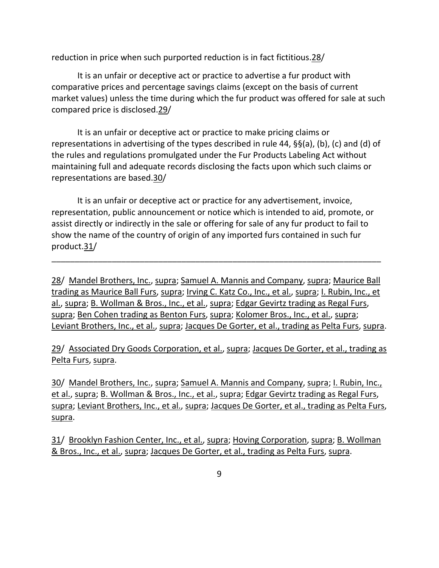reduction in price when such purported reduction is in fact [fictitious.28/](https://fictitious.28)

It is an unfair or deceptive act or practice to advertise a fur product with comparative prices and percentage savings claims (except on the basis of current market values) unless the time during which the fur product was offered for sale at such compared price is [disclosed.29/](https://disclosed.29)

It is an unfair or deceptive act or practice to make pricing claims or representations in advertising of the types described in rule 44, §§(a), (b), (c) and (d) of the rules and regulations promulgated under the Fur Products Labeling Act without maintaining full and adequate records disclosing the facts upon which such claims or representations are [based.30/](https://based.30)

It is an unfair or deceptive act or practice for any advertisement, invoice, representation, public announcement or notice which is intended to aid, promote, or assist directly or indirectly in the sale or offering for sale of any fur product to fail to show the name of the country of origin of any imported furs contained in such fur [product.31](https://product.31)/

\_\_\_\_\_\_\_\_\_\_\_\_\_\_\_\_\_\_\_\_\_\_\_\_\_\_\_\_\_\_\_\_\_\_\_\_\_\_\_\_\_\_\_\_\_\_\_\_\_\_\_\_\_\_\_\_\_\_\_\_\_\_\_\_\_\_\_\_\_\_\_

28/ Mandel Brothers, Inc., supra; Samuel A. Mannis and Company, supra; Maurice Ball trading as Maurice Ball Furs, supra; Irving C. Katz Co., Inc., et al., supra; I. Rubin, Inc., et al., supra; B. Wollman & Bros., Inc., et al., supra; Edgar Gevirtz trading as Regal Furs, supra; Ben Cohen trading as Benton Furs, supra; Kolomer Bros., Inc., et al., supra; Leviant Brothers, Inc., et al., supra; Jacques De Gorter, et al., trading as Pelta Furs, supra.

29/ Associated Dry Goods Corporation, et al., supra; Jacques De Gorter, et al., trading as Pelta Furs, supra.

30/ Mandel Brothers, Inc., supra; Samuel A. Mannis and Company, supra; I. Rubin, Inc., et al., supra; B. Wollman & Bros., Inc., et al., supra; Edgar Gevirtz trading as Regal Furs, supra; Leviant Brothers, Inc., et al., supra; Jacques De Gorter, et al., trading as Pelta Furs, supra.

31/ Brooklyn Fashion Center, Inc., et al., supra; Hoving Corporation, supra; B. Wollman & Bros., Inc., et al., supra; Jacques De Gorter, et al., trading as Pelta Furs, supra.